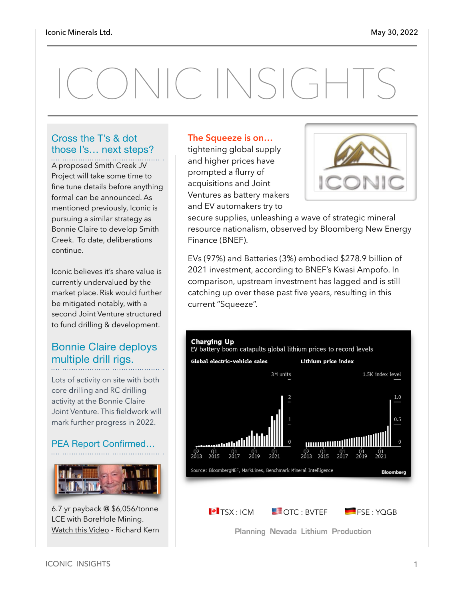# ICONIC INSIGHTS

#### Cross the T's & dot those I's… next steps?

A proposed Smith Creek JV Project will take some time to fine tune details before anything formal can be announced. As mentioned previously, Iconic is pursuing a similar strategy as Bonnie Claire to develop Smith Creek. To date, deliberations continue.

Iconic believes it's share value is currently undervalued by the market place. Risk would further be mitigated notably, with a second Joint Venture structured to fund drilling & development.

#### Bonnie Claire deploys multiple drill rigs.

Lots of activity on site with both core drilling and RC drilling activity at the Bonnie Claire Joint Venture. This fieldwork will mark further progress in 2022.

#### PEA Report Confirmed…



6.7 yr payback @ \$6,056/tonne LCE with BoreHole Mining. [Watch this Video](https://www.youtube.com/watch?v=vsXsFvm4QMY) - Richard Kern

#### **The Squeeze is on…**

tightening global supply and higher prices have prompted a flurry of acquisitions and Joint Ventures as battery makers and EV automakers try to



secure supplies, unleashing a wave of strategic mineral resource nationalism, observed by Bloomberg New Energy Finance (BNEF).

EVs (97%) and Batteries (3%) embodied \$278.9 billion of 2021 investment, according to BNEF's Kwasi Ampofo. In comparison, upstream investment has lagged and is still catching up over these past five years, resulting in this current "Squeeze".